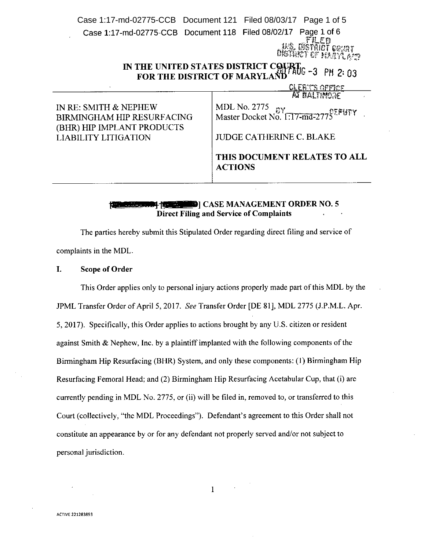Case 1:17-md-02775-CCB Document 121 Filed 08/03/17 Page 1 of 5Case 1:17-md-02775-CCB Document 118 Filed 08/02/17 Page 1 of 6 filed strict court ht if hlin a'd

# IN THE UNITED STATES DISTRICT COURT.<br>FOR THE DISTRICT OF MARYLAND

<u>CLERY'S OPPICE</u> **PEATTIMAGO** 

| THIS DOCUMENT RELATES TO ALL<br><b>ACTIONS</b>                   |
|------------------------------------------------------------------|
| <b>JUDGE CATHERINE C. BLAKE</b>                                  |
| MDL No. 2775<br>Master Docket No. 1:17-md-2775 <sup>2</sup> PUTY |
|                                                                  |

### **FROM THE 10-11-12-12-12-12-20 IN THE U.S. EXAMAGEMENT ORDER NO.5** Direct Filing and Service of Complaints

The parties hereby submit this Stipulated Order regarding direct filing and service of complaints in the MDL.

#### I. Scope of Order

This Order applies only to personal injury actions properly made part of this MDL by the JPML Transfer Order of April 5, 2017. *See* Transfer Order [DE 81], MDL 2775 (J.P.M.L. Apr. 5,2017). Specifically, this Order applies to actions brought by any U.S. citizen or resident against Smith & Nephew, Inc. by a plaintiff implanted with the following components of the Birmingham Hip Resurfacing (BHR) System, and only these components: (I) Birmingham Hip Resurfacing Femoral Head; and (2) Birmingham Hip Resurfacing Acetabular Cup, that (i) are currently pending in MDL No. 2775, or (ii) will be filed in, removed to, or transferred to this Court (collectively, "the MDL Proceedings"). Defendant's agreement to this Order shall not constitute an appearance by or for any defendant not properly served and/or not subject to personal jurisdiction.

I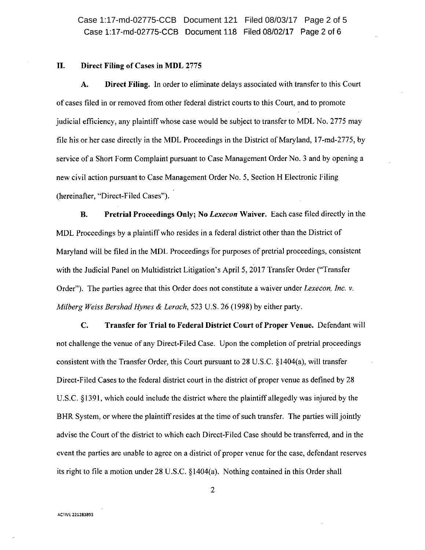Case 1:17-md-02775-CCB Document 118 Filed 08/02/17 Page 2 of 6 Case 1:17-md-02775-CCB Document 121 Filed 08/03/17 Page 2 of 5

#### II. Direct Filing of Cases in MDL 2775

A. Direct Filing. In order to eliminate delays associated with transfer to this Court of cases filed in or removed from other federal district courts to this Court, and to promote judicial efficiency, any plaintiff whose case would be subject to transfer to MDL No. 2775 may file his or her case directly in the MOL Proceedings in the District of Maryland, 17-md-2775, by service of a Short Form Complaint pursuant to Case Management Order No. 3 and by opening a new civil action pursuant to Case Management Order No. 5, Section H Electronic Filing (hereinafter, "Direct-Filed Cases").

B. Pretrial Proceedings Only; No *Lexecon* Waiver. Each case filed directly in the MOL Proceedings by a plaintiff who resides in a federal district other than the District of Maryland will be filed in the MOL Proceedings for purposes of pretrial proceedings, consistent with the Judicial Panel on Multidistrict Litigation's April 5, 2017 Transfer Order ("Transfer Order"). The parties agree that this Order does not constitute a waiver under *Lexecon, Inc.* v. *Milberg Weiss Bershad Hynes* & *Lerach,* 523 U.S. 26 (1998) by either party.

C. Transfer for Trial to Federal District Court of Proper Venue. Defendant will not challenge the venue of any Direct-Filed Case. Upon the completion of pretrial proceedings consistent with the Transfer Order, this Court pursuant to 28 U.S.C.  $\S 1404(a)$ , will transfer Direct-Filed Cases to the federal district court in the district of proper venue as defined by 28 U.S.c. S 1391, which could include the district where the plaintiff allegedly was injured by the BHR System, or where the plaintiff resides at the time of such transfer. The parties will jointly advise the Court of the district to which each Direct-Filed Case should be transferred, and in the event the parties are unable to agree on a district of proper venue for the case, defendant reserves its right to file a motion under 28 U.S.C. sI404(a). Nothing contained in this Order shall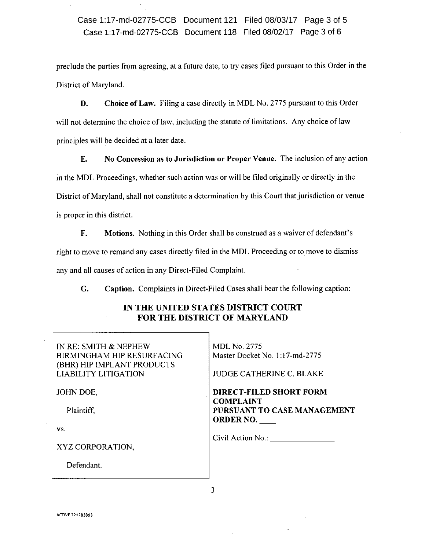## Case 1:17-md-02775-CCB Document 118 Filed 08/02/17 Page 3 of 6 Case 1:17-md-02775-CCB Document 121 Filed 08/03/17 Page 3 of 5

preclude the parties from agreeing, at a future date, to try cases filed pursuant to this Order in the District of Maryland.

D. Choice of Law. Filing a case directly in MDL No. 2775 pursuant to this Order will not determine the choice of law, including the statute of limitations. Any choice of law principles will be decided at a later date.

E. No Concession as to Jurisdiction or Proper Venue. The inclusion of any action in the MDL Proceedings, whether such action was or will be filed originally or directly in the District of Maryland, shall not constitute a determination by this Court that jurisdiction or venue is proper in this district.

F. Motions. Nothing in this Order shall be construed as a waiver of defendant's

right to move to remand any cases directly filed in the MDL Proceeding or to move to dismiss

any and all causes of action in any Direct-Filed Complaint.

G. Caption. Complaints in Direct-Filed Cases shall bear the following caption:

## IN THE UNITED STATES DISTRICT COURT FOR THE DISTRICT OF MARYLAND

| IN RE: SMITH & NEPHEW<br>BIRMINGHAM HIP RESURFACING<br>(BHR) HIP IMPLANT PRODUCTS<br>LIABILITY LITIGATION | <b>MDL</b> No. 2775<br>Master Docket No. 1:17-md-2775<br><b>JUDGE CATHERINE C. BLAKE</b> |
|-----------------------------------------------------------------------------------------------------------|------------------------------------------------------------------------------------------|
| JOHN DOE,                                                                                                 | <b>DIRECT-FILED SHORT FORM</b>                                                           |
| Plaintiff,                                                                                                | <b>COMPLAINT</b><br>PURSUANT TO CASE MANAGEMENT<br><b>ORDER NO.</b>                      |
| VS.                                                                                                       |                                                                                          |
| XYZ CORPORATION.                                                                                          | Civil Action No.:                                                                        |
| Defendant.                                                                                                |                                                                                          |

3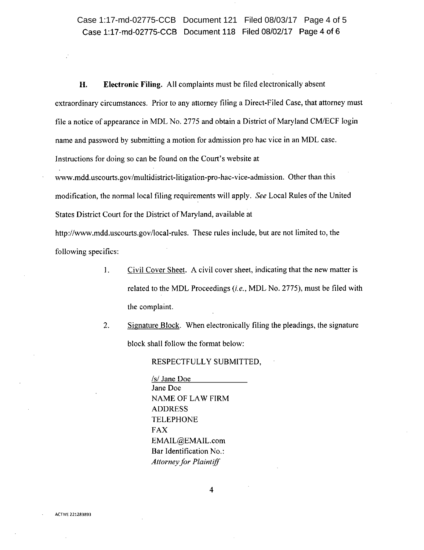## Case 1:17-md-02775-CCB Document 118 Filed 08/02/17 Page 4 of 6 Case 1:17-md-02775-CCB Document 121 Filed 08/03/17 Page 4 of 5

**H. Electronic Filing.** All complaints must be filed electronically absent extraordinary circumstances. Prior to any attorney filing a Direct-Filed Case, that attorney must file a notice of appearance in MDL No. 2775 and obtain a District of Maryland CM/ECF login name and password by submitting a motion for admission pro hac vice in an MDL case. Instructions for doing so can be found on the Court's website at

[www.mdd.uscourts.gov/multidistrict](http://www.mdd.uscourts.gov/multidistrict) -litigation-pro-hac- vice-admission. Other than this modification, the normal local filing requirements will apply. *See* Local Rules of the United States District Court for the District of Maryland, available at

<http://www.mdd.uscourts.gov/local-rules.> These rules include, but are not limited to, the following specifics:

- I. Civil Cover Sheet. A civil cover sheet, indicating that the new matter is related to the MDL Proceedings *(i.e.,* MDL No. 2775), must be filed with the complaint.
- 2. Signature Block. When electronically filing the pleadings, the signature block shall follow the format below:

RESPECTFULLY SUBMITTED,

*lsi* Jane Doe Jane Doe NAME OF LAW FIRM ADDRESS TELEPHONE FAX [EMAIL@EMAIL.com](mailto:EMAIL@EMAIL.com) Bar Identification No.: *Attorney for Plaintiff*

**ACTIVE 221283893**

4